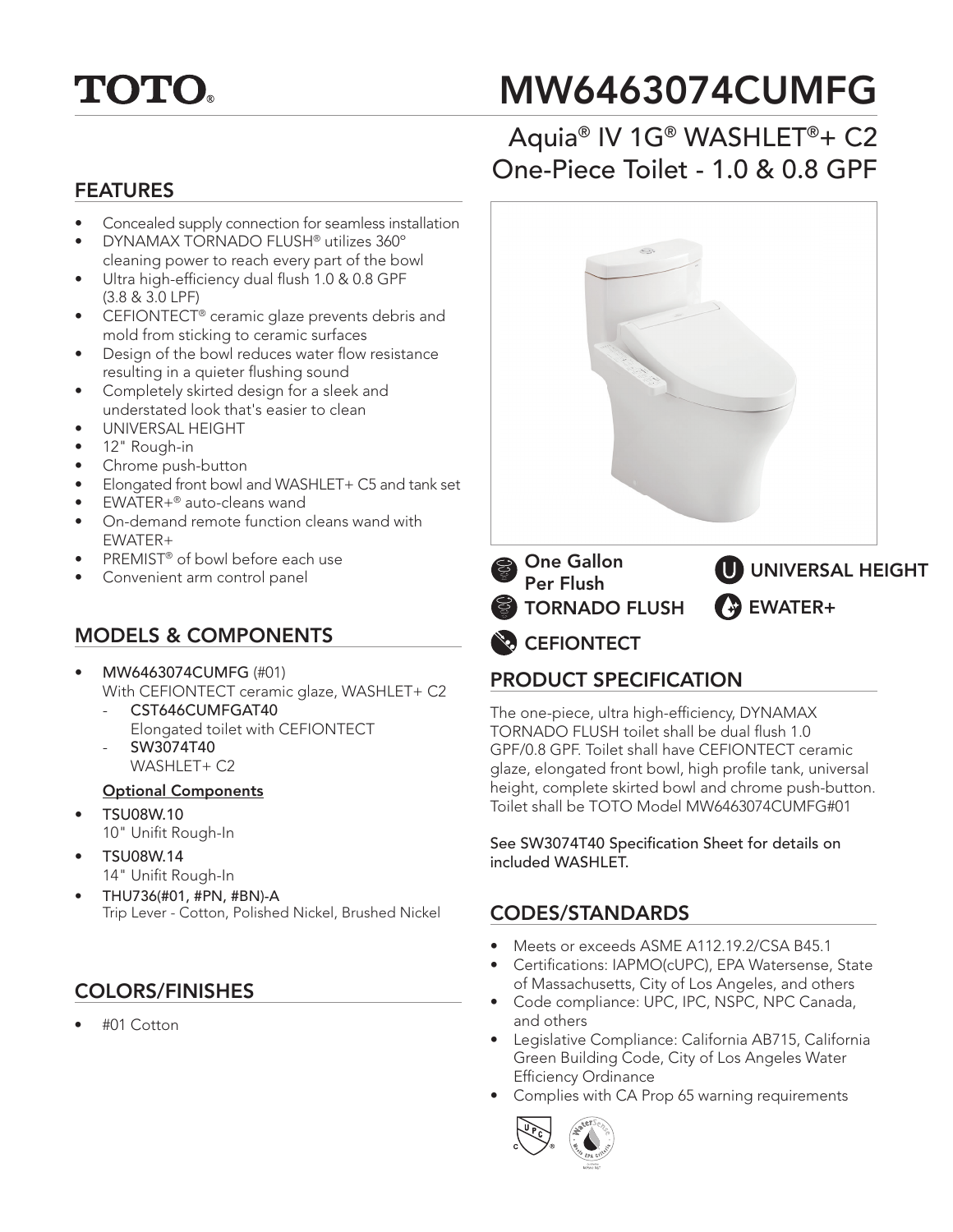

# MW6463074CUMFG

### FEATURES

- Concealed supply connection for seamless installation
- DYNAMAX TORNADO FLUSH® utilizes 360º cleaning power to reach every part of the bowl
- Ultra high-efficiency dual flush 1.0 & 0.8 GPF (3.8 & 3.0 LPF)
- CEFIONTECT® ceramic glaze prevents debris and mold from sticking to ceramic surfaces
- Design of the bowl reduces water flow resistance resulting in a quieter flushing sound
- Completely skirted design for a sleek and understated look that's easier to clean
- UNIVERSAL HEIGHT
- 12" Rough-in
- Chrome push-button
- Elongated front bowl and WASHLET+ C5 and tank set
- EWATER+® auto-cleans wand
- On-demand remote function cleans wand with EWATER+
- PREMIST® of bowl before each use
- Convenient arm control panel

### MODELS & COMPONENTS

- MW6463074CUMFG (#01) With CEFIONTECT ceramic glaze, WASHLET+ C2 CST646CUMFGAT40
	- Elongated toilet with CEFIONTECT - SW3074T40
	- WASHLET+ C2

### Optional Components

- TSU08W.10
	- 10" Unifit Rough-In
- TSU08W.14 14" Unifit Rough-In
- THU736(#01, #PN, #BN)-A
- Trip Lever Cotton, Polished Nickel, Brushed Nickel **CODES/STANDARDS**

### COLORS/FINISHES

• #01 Cotton

## Aquia® IV 1G® WASHLET®+ C2 One-Piece Toilet - 1.0 & 0.8 GPF



**CEFIONTECT** 

### PRODUCT SPECIFICATION

The one-piece, ultra high-efficiency, DYNAMAX TORNADO FLUSH toilet shall be dual flush 1.0 GPF/0.8 GPF. Toilet shall have CEFIONTECT ceramic glaze, elongated front bowl, high profile tank, universal height, complete skirted bowl and chrome push-button. Toilet shall be TOTO Model MW6463074CUMFG#01

See SW3074T40 Specification Sheet for details on included WASHLET.

- Meets or exceeds ASME A112.19.2/CSA B45.1
- Certifications: IAPMO(cUPC), EPA Watersense, State of Massachusetts, City of Los Angeles, and others
- Code compliance: UPC, IPC, NSPC, NPC Canada, and others
- Legislative Compliance: California AB715, California Green Building Code, City of Los Angeles Water Efficiency Ordinance
- Complies with CA Prop 65 warning requirements